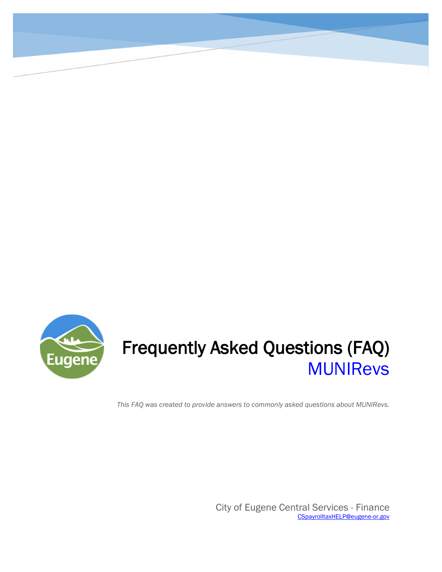

# Frequently Asked Questions (FAQ) MUNIRevs

*This FAQ was created to provide answers to commonly asked questions about MUNIRevs.*

City of Eugene Central Services - Finance CSpayrolltaxHELP@eugene-or.gov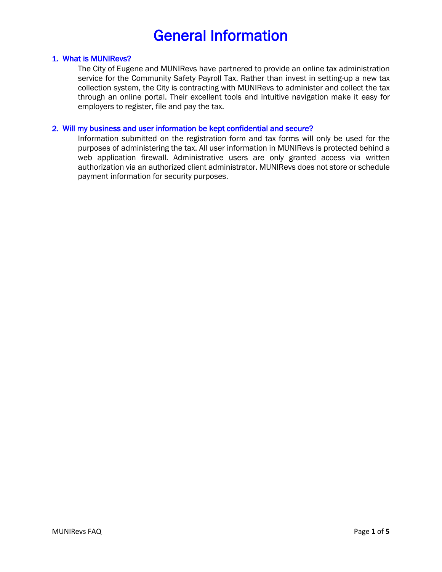## General Information

#### 1. What is MUNIRevs?

The City of Eugene and MUNIRevs have partnered to provide an online tax administration service for the Community Safety Payroll Tax. Rather than invest in setting-up a new tax collection system, the City is contracting with MUNIRevs to administer and collect the tax through an online portal. Their excellent tools and intuitive navigation make it easy for employers to register, file and pay the tax.

#### 2. Will my business and user information be kept confidential and secure?

Information submitted on the registration form and tax forms will only be used for the purposes of administering the tax. All user information in MUNIRevs is protected behind a web application firewall. Administrative users are only granted access via written authorization via an authorized client administrator. MUNIRevs does not store or schedule payment information for security purposes.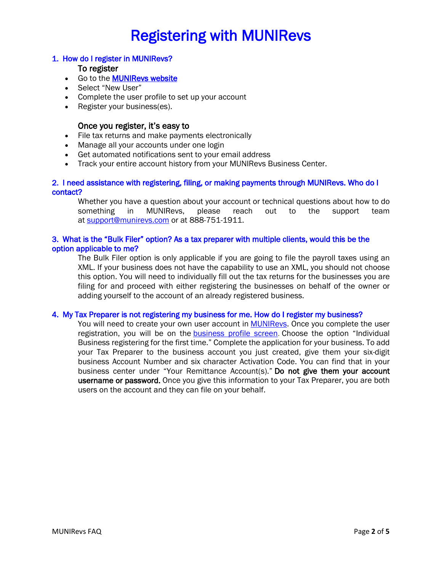# Registering with MUNIRevs

#### 1. How do I register in MUNIRevs?

#### To register

- Go to the **MUNIRevs website**
- Select "New User"
- Complete the user profile to set up your account
- Register your business(es).

#### Once you register, it's easy to

- File tax returns and make payments electronically
- Manage all your accounts under one login
- Get automated notifications sent to your email address
- Track your entire account history from your MUNIRevs Business Center.

#### 2. I need assistance with registering, filing, or making payments through MUNIRevs. Who do I contact?

Whether you have a question about your account or technical questions about how to do something in MUNIRevs, please reach out to the support team at support@munirevs.com or at 888-751-1911.

#### 3. What is the "Bulk Filer" option? As a tax preparer with multiple clients, would this be the option applicable to me?

The Bulk Filer option is only applicable if you are going to file the payroll taxes using an XML. If your business does not have the capability to use an XML, you should not choose this option. You will need to individually fill out the tax returns for the businesses you are filing for and proceed with either registering the businesses on behalf of the owner or adding yourself to the account of an already registered business.

#### 4. My Tax Preparer is not registering my business for me. How do I register my business?

You will need to create your own user account in MUNIReys. Once you complete the user registration, you will be on the business profile screen. Choose the option "Individual Business registering for the first time." Complete the application for your business. To add your Tax Preparer to the business account you just created, give them your six-digit business Account Number and six character Activation Code. You can find that in your business center under "Your Remittance Account(s)." Do not give them your account username or password. Once you give this information to your Tax Preparer, you are both users on the account and they can file on your behalf.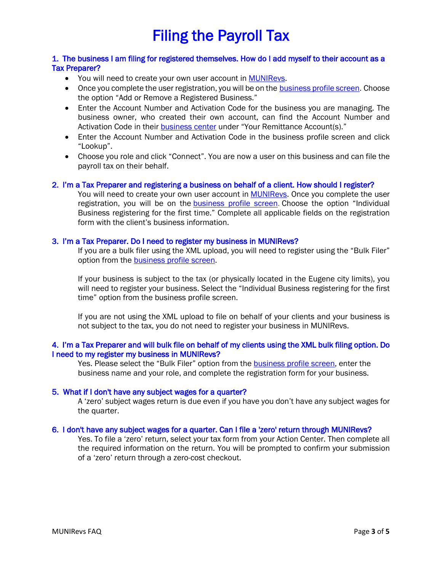# Filing the Payroll Tax

#### 1. The business I am filing for registered themselves. How do I add myself to their account as a Tax Preparer?

- You will need to create your own user account in MUNIRevs.
- Once you complete the user registration, you will be on the business profile screen. Choose the option "Add or Remove a Registered Business."
- Enter the Account Number and Activation Code for the business you are managing. The business owner, who created their own account, can find the Account Number and Activation Code in their **business center** under "Your Remittance Account(s)."
- Enter the Account Number and Activation Code in the business profile screen and click "Lookup".
- Choose you role and click "Connect". You are now a user on this business and can file the payroll tax on their behalf.

#### 2. I'm a Tax Preparer and registering a business on behalf of a client. How should I register?

You will need to create your own user account in **MUNIRevs**. Once you complete the user registration, you will be on the business profile screen. Choose the option "Individual Business registering for the first time." Complete all applicable fields on the registration form with the client's business information.

#### 3. I'm a Tax Preparer. Do I need to register my business in MUNIRevs?

If you are a bulk filer using the XML upload, you will need to register using the "Bulk Filer" option from the **business profile screen**.

If your business is subject to the tax (or physically located in the Eugene city limits), you will need to register your business. Select the "Individual Business registering for the first time" option from the business profile screen.

If you are not using the XML upload to file on behalf of your clients and your business is not subject to the tax, you do not need to register your business in MUNIRevs.

#### 4. I'm a Tax Preparer and will bulk file on behalf of my clients using the XML bulk filing option. Do I need to my register my business in MUNIRevs?

Yes. Please select the "Bulk Filer" option from the business profile screen, enter the business name and your role, and complete the registration form for your business.

#### 5. What if I don't have any subject wages for a quarter?

A 'zero' subject wages return is due even if you have you don't have any subject wages for the quarter.

#### 6. I don't have any subject wages for a quarter. Can I file a 'zero' return through MUNIRevs?

Yes. To file a 'zero' return, select your tax form from your Action Center. Then complete all the required information on the return. You will be prompted to confirm your submission of a 'zero' return through a zero-cost checkout.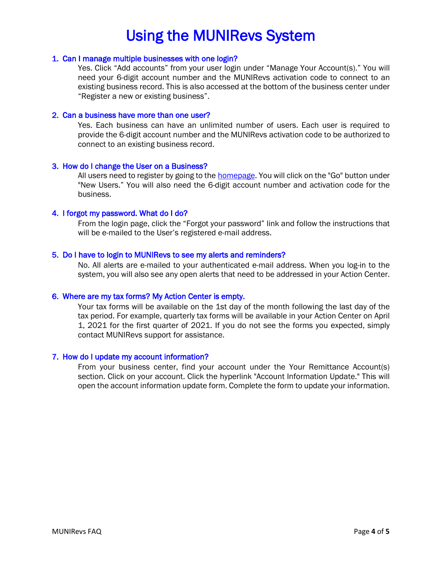## Using the MUNIRevs System

#### 1. Can I manage multiple businesses with one login?

Yes. Click "Add accounts" from your user login under "Manage Your Account(s)." You will need your 6-digit account number and the MUNIRevs activation code to connect to an existing business record. This is also accessed at the bottom of the business center under "Register a new or existing business".

#### 2. Can a business have more than one user?

Yes. Each business can have an unlimited number of users. Each user is required to provide the 6-digit account number and the MUNIRevs activation code to be authorized to connect to an existing business record.

#### 3. How do I change the User on a Business?

All users need to register by going to the homepage. You will click on the "Go" button under "New Users." You will also need the 6-digit account number and activation code for the business.

#### 4. I forgot my password. What do I do?

From the login page, click the "Forgot your password" link and follow the instructions that will be e-mailed to the User's registered e-mail address.

#### 5. Do I have to login to MUNIRevs to see my alerts and reminders?

No. All alerts are e-mailed to your authenticated e-mail address. When you log-in to the system, you will also see any open alerts that need to be addressed in your Action Center.

#### 6. Where are my tax forms? My Action Center is empty.

Your tax forms will be available on the 1st day of the month following the last day of the tax period. For example, quarterly tax forms will be available in your Action Center on April 1, 2021 for the first quarter of 2021. If you do not see the forms you expected, simply contact MUNIRevs support for assistance.

#### 7. How do I update my account information?

From your business center, find your account under the Your Remittance Account(s) section. Click on your account. Click the hyperlink "Account Information Update." This will open the account information update form. Complete the form to update your information.